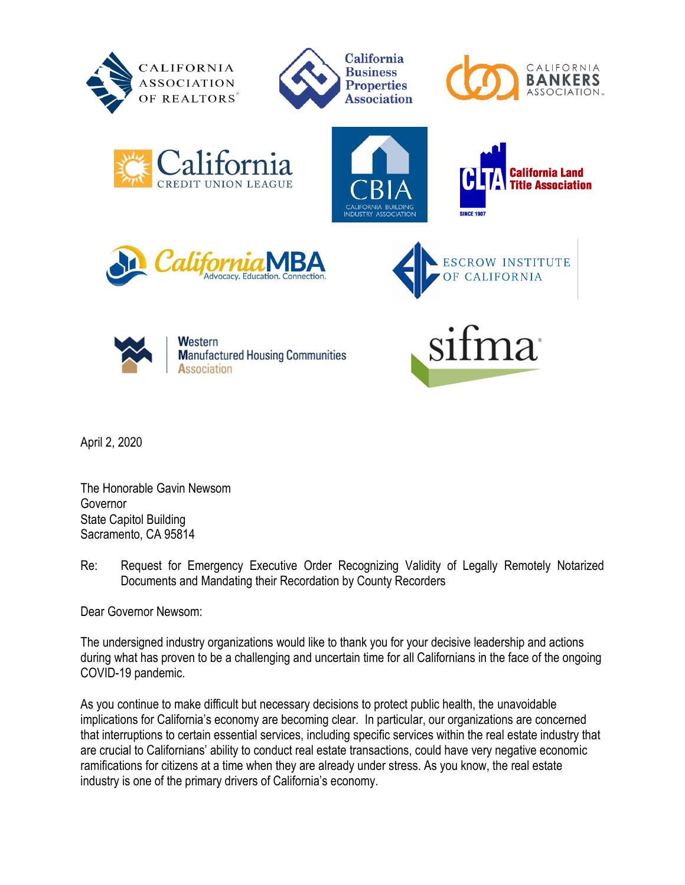

















Western **Manufactured Housing Communities** Association

April 2, 2020

The Honorable Gavin Newsom Governor State Capitol Building Sacramento, CA 95814

Re: Request for Emergency Executive Order Recognizing Validity of Legally Remotely Notarized Documents and Mandating their Recordation by County Recorders

Dear Governor Newsom:

The undersigned industry organizations would like to thank you for your decisive leadership and actions during what has proven to be a challenging and uncertain time for all Californians in the face of the ongoing COVID-19 pandemic.

As you continue to make difficult but necessary decisions to protect public health, the unavoidable implications for California's economy are becoming clear. In particular, our organizations are concerned that interruptions to certain essential services, including specific services within the real estate industry that are crucial to Californians' ability to conduct real estate transactions, could have very negative economic ramifications for citizens at a time when they are already under stress. As you know, the real estate industry is one of the primary drivers of California's economy.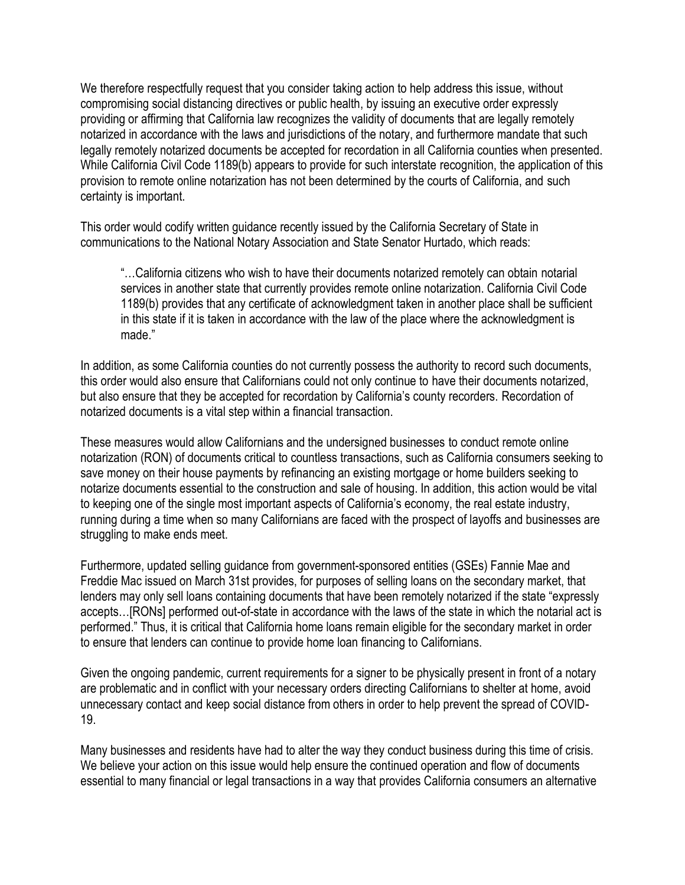We therefore respectfully request that you consider taking action to help address this issue, without compromising social distancing directives or public health, by issuing an executive order expressly providing or affirming that California law recognizes the validity of documents that are legally remotely notarized in accordance with the laws and jurisdictions of the notary, and furthermore mandate that such legally remotely notarized documents be accepted for recordation in all California counties when presented. While California Civil Code 1189(b) appears to provide for such interstate recognition, the application of this provision to remote online notarization has not been determined by the courts of California, and such certainty is important.

This order would codify written guidance recently issued by the California Secretary of State in communications to the National Notary Association and State Senator Hurtado, which reads:

"…California citizens who wish to have their documents notarized remotely can obtain notarial services in another state that currently provides remote online notarization. California Civil Code 1189(b) provides that any certificate of acknowledgment taken in another place shall be sufficient in this state if it is taken in accordance with the law of the place where the acknowledgment is made."

In addition, as some California counties do not currently possess the authority to record such documents, this order would also ensure that Californians could not only continue to have their documents notarized, but also ensure that they be accepted for recordation by California's county recorders. Recordation of notarized documents is a vital step within a financial transaction.

These measures would allow Californians and the undersigned businesses to conduct remote online notarization (RON) of documents critical to countless transactions, such as California consumers seeking to save money on their house payments by refinancing an existing mortgage or home builders seeking to notarize documents essential to the construction and sale of housing. In addition, this action would be vital to keeping one of the single most important aspects of California's economy, the real estate industry, running during a time when so many Californians are faced with the prospect of layoffs and businesses are struggling to make ends meet.

Furthermore, updated selling guidance from government-sponsored entities (GSEs) Fannie Mae and Freddie Mac issued on March 31st provides, for purposes of selling loans on the secondary market, that lenders may only sell loans containing documents that have been remotely notarized if the state "expressly accepts…[RONs] performed out-of-state in accordance with the laws of the state in which the notarial act is performed." Thus, it is critical that California home loans remain eligible for the secondary market in order to ensure that lenders can continue to provide home loan financing to Californians.

Given the ongoing pandemic, current requirements for a signer to be physically present in front of a notary are problematic and in conflict with your necessary orders directing Californians to shelter at home, avoid unnecessary contact and keep social distance from others in order to help prevent the spread of COVID-19.

Many businesses and residents have had to alter the way they conduct business during this time of crisis. We believe your action on this issue would help ensure the continued operation and flow of documents essential to many financial or legal transactions in a way that provides California consumers an alternative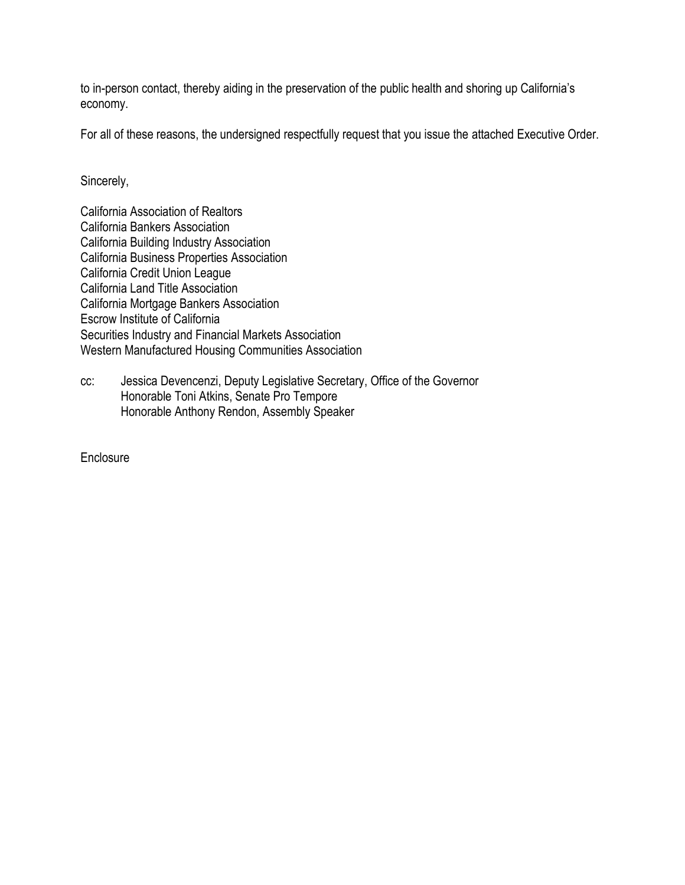to in-person contact, thereby aiding in the preservation of the public health and shoring up California's economy.

For all of these reasons, the undersigned respectfully request that you issue the attached Executive Order.

Sincerely,

California Association of Realtors California Bankers Association California Building Industry Association California Business Properties Association California Credit Union League California Land Title Association California Mortgage Bankers Association Escrow Institute of California Securities Industry and Financial Markets Association Western Manufactured Housing Communities Association

cc: Jessica Devencenzi, Deputy Legislative Secretary, Office of the Governor Honorable Toni Atkins, Senate Pro Tempore Honorable Anthony Rendon, Assembly Speaker

**Enclosure**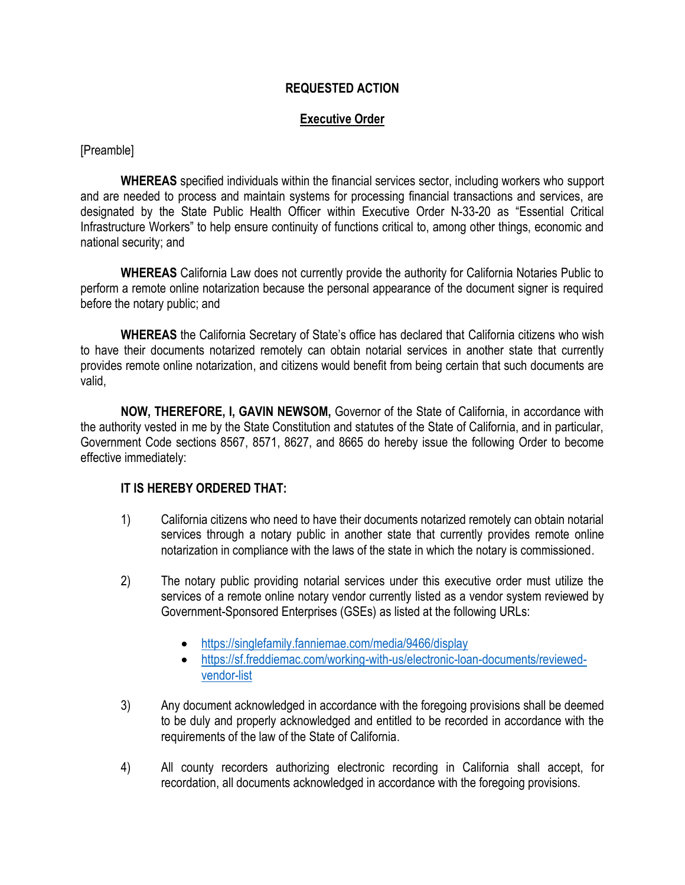## **REQUESTED ACTION**

## **Executive Order**

[Preamble]

**WHEREAS** specified individuals within the financial services sector, including workers who support and are needed to process and maintain systems for processing financial transactions and services, are designated by the State Public Health Officer within Executive Order N-33-20 as "Essential Critical Infrastructure Workers" to help ensure continuity of functions critical to, among other things, economic and national security; and

**WHEREAS** California Law does not currently provide the authority for California Notaries Public to perform a remote online notarization because the personal appearance of the document signer is required before the notary public; and

**WHEREAS** the California Secretary of State's office has declared that California citizens who wish to have their documents notarized remotely can obtain notarial services in another state that currently provides remote online notarization, and citizens would benefit from being certain that such documents are valid,

**NOW, THEREFORE, I, GAVIN NEWSOM,** Governor of the State of California, in accordance with the authority vested in me by the State Constitution and statutes of the State of California, and in particular, Government Code sections 8567, 8571, 8627, and 8665 do hereby issue the following Order to become effective immediately:

## **IT IS HEREBY ORDERED THAT:**

- 1) California citizens who need to have their documents notarized remotely can obtain notarial services through a notary public in another state that currently provides remote online notarization in compliance with the laws of the state in which the notary is commissioned.
- 2) The notary public providing notarial services under this executive order must utilize the services of a remote online notary vendor currently listed as a vendor system reviewed by Government-Sponsored Enterprises (GSEs) as listed at the following URLs:
	- <https://singlefamily.fanniemae.com/media/9466/display>
	- [https://sf.freddiemac.com/working-with-us/electronic-loan-documents/reviewed](https://sf.freddiemac.com/working-with-us/electronic-loan-documents/reviewed-vendor-list)[vendor-list](https://sf.freddiemac.com/working-with-us/electronic-loan-documents/reviewed-vendor-list)
- 3) Any document acknowledged in accordance with the foregoing provisions shall be deemed to be duly and properly acknowledged and entitled to be recorded in accordance with the requirements of the law of the State of California.
- 4) All county recorders authorizing electronic recording in California shall accept, for recordation, all documents acknowledged in accordance with the foregoing provisions.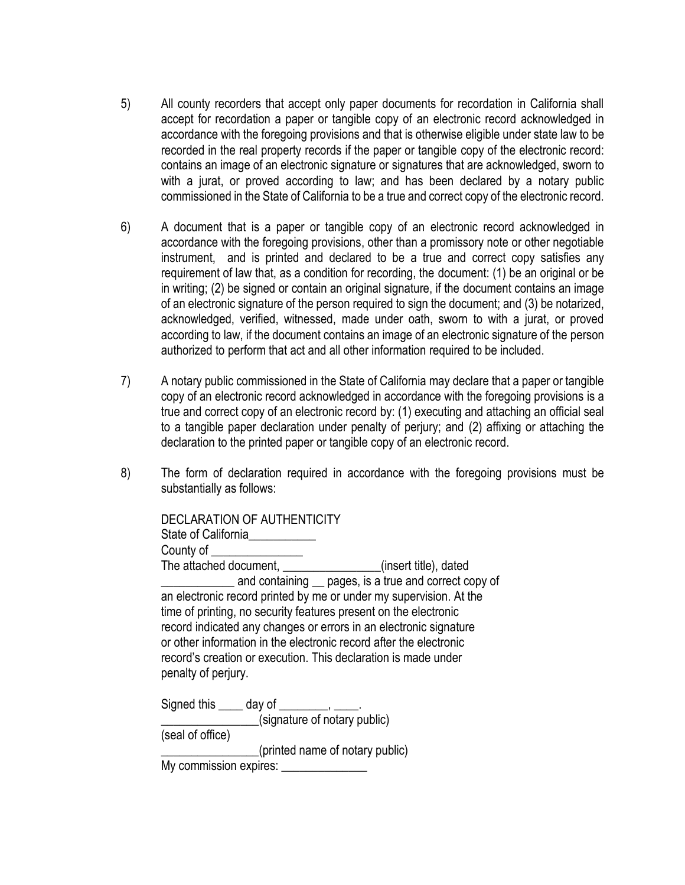- 5) All county recorders that accept only paper documents for recordation in California shall accept for recordation a paper or tangible copy of an electronic record acknowledged in accordance with the foregoing provisions and that is otherwise eligible under state law to be recorded in the real property records if the paper or tangible copy of the electronic record: contains an image of an electronic signature or signatures that are acknowledged, sworn to with a jurat, or proved according to law; and has been declared by a notary public commissioned in the State of California to be a true and correct copy of the electronic record.
- 6) A document that is a paper or tangible copy of an electronic record acknowledged in accordance with the foregoing provisions, other than a promissory note or other negotiable instrument, and is printed and declared to be a true and correct copy satisfies any requirement of law that, as a condition for recording, the document: (1) be an original or be in writing; (2) be signed or contain an original signature, if the document contains an image of an electronic signature of the person required to sign the document; and (3) be notarized, acknowledged, verified, witnessed, made under oath, sworn to with a jurat, or proved according to law, if the document contains an image of an electronic signature of the person authorized to perform that act and all other information required to be included.
- 7) A notary public commissioned in the State of California may declare that a paper or tangible copy of an electronic record acknowledged in accordance with the foregoing provisions is a true and correct copy of an electronic record by: (1) executing and attaching an official seal to a tangible paper declaration under penalty of perjury; and (2) affixing or attaching the declaration to the printed paper or tangible copy of an electronic record.
- 8) The form of declaration required in accordance with the foregoing provisions must be substantially as follows:

| DECLARATION OF AUTHENTICITY<br>State of California<br>County of <b>County of Activity</b>                                                                                                                                                                                                                                                                                                                                           |
|-------------------------------------------------------------------------------------------------------------------------------------------------------------------------------------------------------------------------------------------------------------------------------------------------------------------------------------------------------------------------------------------------------------------------------------|
| The attached document, ________________(insert title), dated                                                                                                                                                                                                                                                                                                                                                                        |
| and containing _ pages, is a true and correct copy of<br>an electronic record printed by me or under my supervision. At the<br>time of printing, no security features present on the electronic<br>record indicated any changes or errors in an electronic signature<br>or other information in the electronic record after the electronic<br>record's creation or execution. This declaration is made under<br>penalty of perjury. |
| Signed this $\_\_\_$ day of $\_\_\_\_\_\_\_\$<br>(signature of notary public)                                                                                                                                                                                                                                                                                                                                                       |
| (seal of office)                                                                                                                                                                                                                                                                                                                                                                                                                    |
| (printed name of notary public)                                                                                                                                                                                                                                                                                                                                                                                                     |
| My commission expires:                                                                                                                                                                                                                                                                                                                                                                                                              |